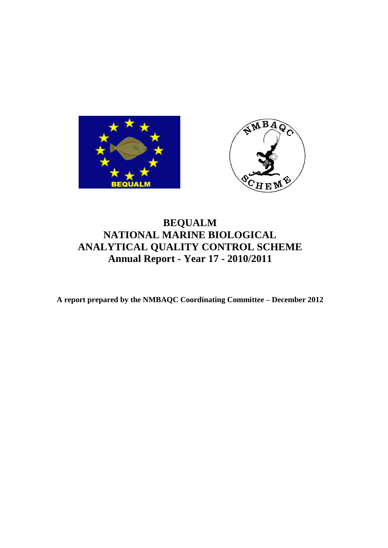



# **BEQUALM NATIONAL MARINE BIOLOGICAL ANALYTICAL QUALITY CONTROL SCHEME Annual Report - Year 17 - 2010/2011**

**A report prepared by the NMBAQC Coordinating Committee – December 2012**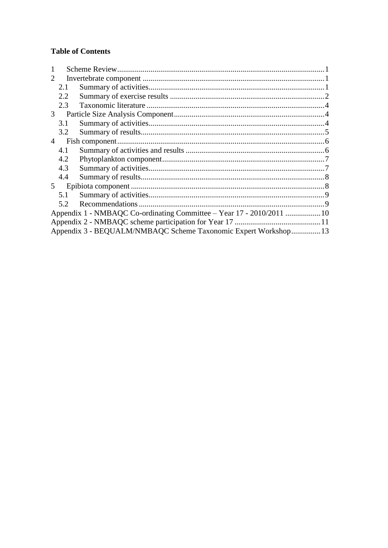## **Table of Contents**

| $\mathcal{D}_{\mathcal{L}}$ |                                                                       |  |  |  |  |  |
|-----------------------------|-----------------------------------------------------------------------|--|--|--|--|--|
|                             | 2.1                                                                   |  |  |  |  |  |
|                             | 2.2                                                                   |  |  |  |  |  |
|                             | 2.3                                                                   |  |  |  |  |  |
| 3 <sup>1</sup>              |                                                                       |  |  |  |  |  |
|                             | 3.1                                                                   |  |  |  |  |  |
|                             | 3.2                                                                   |  |  |  |  |  |
| $\overline{4}$              |                                                                       |  |  |  |  |  |
|                             | 4.1                                                                   |  |  |  |  |  |
|                             | 4.2                                                                   |  |  |  |  |  |
|                             | 4.3                                                                   |  |  |  |  |  |
|                             | 4.4                                                                   |  |  |  |  |  |
| 5 <sup>5</sup>              |                                                                       |  |  |  |  |  |
|                             | 5.1                                                                   |  |  |  |  |  |
|                             | 5.2                                                                   |  |  |  |  |  |
|                             | Appendix 1 - NMBAQC Co-ordinating Committee – Year 17 - 2010/2011  10 |  |  |  |  |  |
|                             |                                                                       |  |  |  |  |  |
|                             | Appendix 3 - BEQUALM/NMBAQC Scheme Taxonomic Expert Workshop 13       |  |  |  |  |  |
|                             |                                                                       |  |  |  |  |  |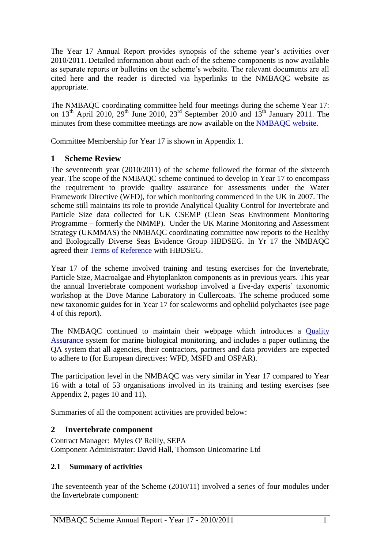The Year 17 Annual Report provides synopsis of the scheme year's activities over 2010/2011. Detailed information about each of the scheme components is now available as separate reports or bulletins on the scheme's website. The relevant documents are all cited here and the reader is directed via hyperlinks to the NMBAQC website as appropriate.

The NMBAQC coordinating committee held four meetings during the scheme Year 17: on  $13<sup>th</sup>$  April 2010,  $29<sup>th</sup>$  June 2010,  $23<sup>rd</sup>$  September 2010 and  $13<sup>th</sup>$  January 2011. The minutes from these committee meetings are now available on the **NMBAQC** website.

<span id="page-2-0"></span>Committee Membership for Year 17 is shown in Appendix 1.

## **1 Scheme Review**

The seventeenth year (2010/2011) of the scheme followed the format of the sixteenth year. The scope of the NMBAQC scheme continued to develop in Year 17 to encompass the requirement to provide quality assurance for assessments under the Water Framework Directive (WFD), for which monitoring commenced in the UK in 2007. The scheme still maintains its role to provide Analytical Quality Control for Invertebrate and Particle Size data collected for UK CSEMP (Clean Seas Environment Monitoring Programme – formerly the NMMP). Under the UK Marine Monitoring and Assessment Strategy (UKMMAS) the NMBAQC coordinating committee now reports to the Healthy and Biologically Diverse Seas Evidence Group HBDSEG. In Yr 17 the NMBAQC agreed their [Terms of Reference](http://www.nmbaqcs.org/media/5142/nmbaqc_tor_2010%20final.pdf) with HBDSEG.

Year 17 of the scheme involved training and testing exercises for the Invertebrate, Particle Size, Macroalgae and Phytoplankton components as in previous years. This year the annual Invertebrate component workshop involved a five-day experts' taxonomic workshop at the Dove Marine Laboratory in Cullercoats. The scheme produced some new taxonomic guides for in Year 17 for scaleworms and opheliid polychaetes (see page 4 of this report).

The NMBAQC continued to maintain their webpage which introduces a [Quality](http://www.nmbaqcs.org/qa-standards.aspx)  [Assurance](http://www.nmbaqcs.org/qa-standards.aspx) system for marine biological monitoring, and includes a paper outlining the QA system that all agencies, their contractors, partners and data providers are expected to adhere to (for European directives: WFD, MSFD and OSPAR).

The participation level in the NMBAQC was very similar in Year 17 compared to Year 16 with a total of 53 organisations involved in its training and testing exercises (see Appendix 2, pages 10 and 11).

Summaries of all the component activities are provided below:

## <span id="page-2-1"></span>**2 Invertebrate component**

Contract Manager: Myles O' Reilly, SEPA Component Administrator: David Hall, Thomson Unicomarine Ltd

## <span id="page-2-2"></span>**2.1 Summary of activities**

The seventeenth year of the Scheme (2010/11) involved a series of four modules under the Invertebrate component: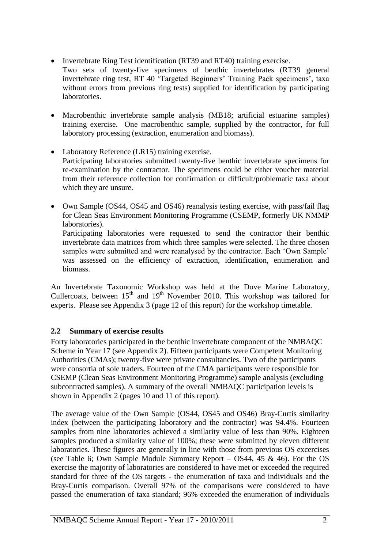- Invertebrate Ring Test identification (RT39 and RT40) training exercise.
- Two sets of twenty-five specimens of benthic invertebrates (RT39 general invertebrate ring test, RT 40 'Targeted Beginners' Training Pack specimens', taxa without errors from previous ring tests) supplied for identification by participating laboratories.
- Macrobenthic invertebrate sample analysis (MB18; artificial estuarine samples) training exercise. One macrobenthic sample, supplied by the contractor, for full laboratory processing (extraction, enumeration and biomass).
- Laboratory Reference (LR15) training exercise. Participating laboratories submitted twenty-five benthic invertebrate specimens for re-examination by the contractor. The specimens could be either voucher material from their reference collection for confirmation or difficult/problematic taxa about which they are unsure.
- Own Sample (OS44, OS45 and OS46) reanalysis testing exercise, with pass/fail flag for Clean Seas Environment Monitoring Programme (CSEMP, formerly UK NMMP laboratories).

Participating laboratories were requested to send the contractor their benthic invertebrate data matrices from which three samples were selected. The three chosen samples were submitted and were reanalysed by the contractor. Each 'Own Sample' was assessed on the efficiency of extraction, identification, enumeration and biomass.

An Invertebrate Taxonomic Workshop was held at the Dove Marine Laboratory, Cullercoats, between  $15<sup>th</sup>$  and  $19<sup>th</sup>$  November 2010. This workshop was tailored for experts. Please see Appendix 3 (page 12 of this report) for the workshop timetable.

## <span id="page-3-0"></span>**2.2 Summary of exercise results**

Forty laboratories participated in the benthic invertebrate component of the NMBAQC Scheme in Year 17 (see Appendix 2). Fifteen participants were Competent Monitoring Authorities (CMAs); twenty-five were private consultancies. Two of the participants were consortia of sole traders. Fourteen of the CMA participants were responsible for CSEMP (Clean Seas Environment Monitoring Programme) sample analysis (excluding subcontracted samples). A summary of the overall NMBAQC participation levels is shown in Appendix 2 (pages 10 and 11 of this report).

The average value of the Own Sample (OS44, OS45 and OS46) Bray-Curtis similarity index (between the participating laboratory and the contractor) was 94.4%. Fourteen samples from nine laboratories achieved a similarity value of less than 90%. Eighteen samples produced a similarity value of 100%; these were submitted by eleven different laboratories. These figures are generally in line with those from previous OS excercises (see Table 6; Own Sample Module Summary Report – OS44, 45 & 46). For the OS exercise the majority of laboratories are considered to have met or exceeded the required standard for three of the OS targets - the enumeration of taxa and individuals and the Bray-Curtis comparison. Overall 97% of the comparisons were considered to have passed the enumeration of taxa standard; 96% exceeded the enumeration of individuals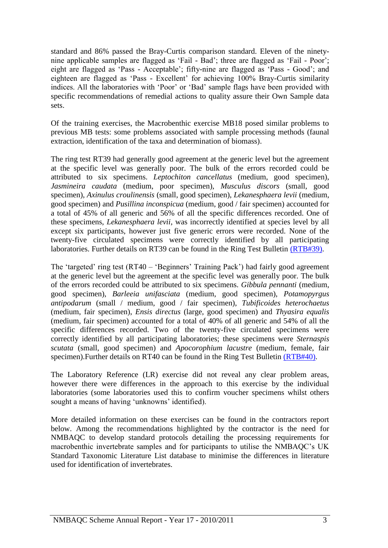standard and 86% passed the Bray-Curtis comparison standard. Eleven of the ninetynine applicable samples are flagged as 'Fail - Bad'; three are flagged as 'Fail - Poor'; eight are flagged as 'Pass - Acceptable'; fifty-nine are flagged as 'Pass - Good'; and eighteen are flagged as 'Pass - Excellent' for achieving 100% Bray-Curtis similarity indices. All the laboratories with 'Poor' or 'Bad' sample flags have been provided with specific recommendations of remedial actions to quality assure their Own Sample data sets.

Of the training exercises, the Macrobenthic exercise MB18 posed similar problems to previous MB tests: some problems associated with sample processing methods (faunal extraction, identification of the taxa and determination of biomass).

The ring test RT39 had generally good agreement at the generic level but the agreement at the specific level was generally poor. The bulk of the errors recorded could be attributed to six specimens. *Leptochiton cancellatus* (medium, good specimen), *Jasmineira caudata* (medium, poor specimen), *Musculus discors* (small, good specimen), *Axinulus croulinensis* (small, good specimen), *Lekanesphaera levii* (medium, good specimen) and *Pusillina inconspicua* (medium, good / fair specimen) accounted for a total of 45% of all generic and 56% of all the specific differences recorded. One of these specimens, *Lekanesphaera levii*, was incorrectly identified at species level by all except six participants, however just five generic errors were recorded. None of the twenty-five circulated specimens were correctly identified by all participating laboratories. Further details on RT39 can be found in the Ring Test Bulletin [\(RTB#39\).](http://www.nmbaqcs.org/media/10225/ring%20test%2039%20bulletin.pdf)

The 'targeted' ring test (RT40 – 'Beginners' Training Pack') had fairly good agreement at the generic level but the agreement at the specific level was generally poor. The bulk of the errors recorded could be attributed to six specimens. *Gibbula pennanti* (medium, good specimen), *Barleeia unifasciata* (medium, good specimen), *Potamopyrgus antipodarum* (small / medium, good / fair specimen), *Tubificoides heterochaetus* (medium, fair specimen), *Ensis directus* (large, good specimen) and *Thyasira equalis* (medium, fair specimen) accounted for a total of 40% of all generic and 54% of all the specific differences recorded. Two of the twenty-five circulated specimens were correctly identified by all participating laboratories; these specimens were *Sternaspis scutata* (small, good specimen) and *Apocorophium lacustre* (medium, female, fair specimen).Further details on RT40 can be found in the Ring Test Bulletin [\(RTB#40\).](http://www.nmbaqcs.org/media/10752/ring%20test%2040%20bulletin_071111.pdf)

The Laboratory Reference (LR) exercise did not reveal any clear problem areas, however there were differences in the approach to this exercise by the individual laboratories (some laboratories used this to confirm voucher specimens whilst others sought a means of having 'unknowns' identified).

More detailed information on these exercises can be found in the contractors report below. Among the recommendations highlighted by the contractor is the need for NMBAQC to develop standard protocols detailing the processing requirements for macrobenthic invertebrate samples and for participants to utilise the NMBAQC's UK Standard Taxonomic Literature List database to minimise the differences in literature used for identification of invertebrates.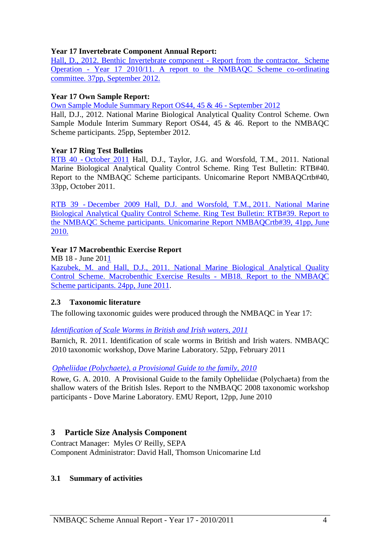### **Year 17 Invertebrate Component Annual Report:**

[Hall, D., 2012. Benthic Invertebrate component -](http://www.nmbaqcs.org/media/12465/yr17_annrep1011_inverts.pdf) Report from the contractor. Scheme Operation - [Year 17 2010/11. A report to the NMBAQC Scheme co-ordinating](http://www.nmbaqcs.org/media/12465/yr17_annrep1011_inverts.pdf)  [committee. 37pp, September 2012.](http://www.nmbaqcs.org/media/12465/yr17_annrep1011_inverts.pdf)

#### **Year 17 Own Sample Report:**

[Own Sample Module Summary](http://www.nmbaqcs.org/media/12444/yr17_os444546_summaryrpt.pdf) Report OS44, 45 & 46 - September 2012

Hall, D.J., 2012. National Marine Biological Analytical Quality Control Scheme. Own Sample Module Interim Summary Report OS44, 45 & 46. Report to the NMBAQC Scheme participants. 25pp, September 2012.

#### **Year 17 Ring Test Bulletins**

RTB 40 - October 2011 [Hall, D.J., Taylor, J.G. and Worsfold, T.M., 2011. National](http://www.nmbaqcs.org/media/10752/ring%20test%2040%20bulletin_071111.pdf)  [Marine Biological Analytical Quality Control Scheme. Ring Test Bulletin: RTB#40.](http://www.nmbaqcs.org/media/10752/ring%20test%2040%20bulletin_071111.pdf)  [Report to the NMBAQC Scheme participants. Unicomarine Report NMBAQCrtb#40,](http://www.nmbaqcs.org/media/10752/ring%20test%2040%20bulletin_071111.pdf)  [33pp, October 2011.](http://www.nmbaqcs.org/media/10752/ring%20test%2040%20bulletin_071111.pdf)

RTB 39 - [December 2009 Hall, D.J. and Worsfold, T.M.,](http://www.nmbaqcs.org/media/10752/ring%20test%2040%20bulletin_071111.pdf) 2011. National Marine Biological Analytical Quality Control Scheme. Ring Test Bulletin: RTB#39. Report to the NMBAQC Scheme participants. Unicomarine Report NMBAQCrtb#39, 41pp, June 2010.

### **Year 17 Macrobenthic Exercise Report**

MB 18 - June 2011 [Kazubek, M. and Hall, D.J., 2011. National Marine Biological Analytical Quality](http://www.nmbaqcs.org/media/10431/mb18%20report.pdf)  [Control Scheme. Macrobenthic Exercise Results -](http://www.nmbaqcs.org/media/10431/mb18%20report.pdf) MB18. Report to the NMBAQC [Scheme participants. 24pp, June 2011.](http://www.nmbaqcs.org/media/10431/mb18%20report.pdf)

#### <span id="page-5-0"></span>**2.3 Taxonomic literature**

The following taxonomic guides were produced through the NMBAQC in Year 17:

#### *[Identification of Scale Worms in British and Irish waters, 2011](http://www.nmbaqcs.org/scheme-components/invertebrates/literature-and-taxonomic-keys/identification-of-scale-worms.aspx)*

Barnich, R. 2011. Identification of scale worms in British and Irish waters. NMBAQC 2010 taxonomic workshop, Dove Marine Laboratory. 52pp, February 2011

#### *[Opheliidae \(Polychaete\), a Provisional Guide to the family, 2010](http://www.nmbaqcs.org/media/9790/provisional%20guide%20to%20opheliidae,%202010.pdf)*

Rowe, G. A. 2010. A Provisional Guide to the family Opheliidae (Polychaeta) from the shallow waters of the British Isles. Report to the NMBAQC 2008 taxonomic workshop participants - Dove Marine Laboratory. EMU Report, 12pp, June 2010

## <span id="page-5-1"></span>**3 Particle Size Analysis Component**

Contract Manager: Myles O' Reilly, SEPA Component Administrator: David Hall, Thomson Unicomarine Ltd

#### <span id="page-5-2"></span>**3.1 Summary of activities**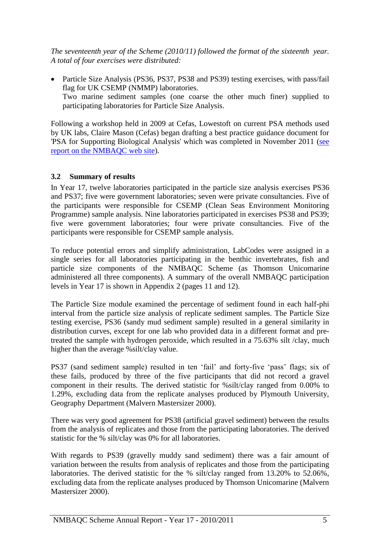*The seventeenth year of the Scheme (2010/11) followed the format of the sixteenth year. A total of four exercises were distributed:*

• Particle Size Analysis (PS36, PS37, PS38 and PS39) testing exercises, with pass/fail flag for UK CSEMP (NMMP) laboratories. Two marine sediment samples (one coarse the other much finer) supplied to participating laboratories for Particle Size Analysis.

Following a workshop held in 2009 at Cefas, Lowestoft on current PSA methods used by UK labs, Claire Mason (Cefas) began drafting a best practice guidance document for 'PSA for Supporting Biological Analysis' which was completed in November 2011 [\(see](http://www.nmbaqcs.org/media/10839/nmbaqc%20best%20practice%20guidance_particle%20size%20analysis.pdf)  [report on the NMBAQC web site\)](http://www.nmbaqcs.org/media/10839/nmbaqc%20best%20practice%20guidance_particle%20size%20analysis.pdf).

### <span id="page-6-0"></span>**3.2 Summary of results**

In Year 17, twelve laboratories participated in the particle size analysis exercises PS36 and PS37; five were government laboratories; seven were private consultancies. Five of the participants were responsible for CSEMP (Clean Seas Environment Monitoring Programme) sample analysis. Nine laboratories participated in exercises PS38 and PS39; five were government laboratories; four were private consultancies. Five of the participants were responsible for CSEMP sample analysis.

To reduce potential errors and simplify administration, LabCodes were assigned in a single series for all laboratories participating in the benthic invertebrates, fish and particle size components of the NMBAQC Scheme (as Thomson Unicomarine administered all three components). A summary of the overall NMBAQC participation levels in Year 17 is shown in Appendix 2 (pages 11 and 12).

The Particle Size module examined the percentage of sediment found in each half-phi interval from the particle size analysis of replicate sediment samples. The Particle Size testing exercise, PS36 (sandy mud sediment sample) resulted in a general similarity in distribution curves, except for one lab who provided data in a different format and pretreated the sample with hydrogen peroxide, which resulted in a 75.63% silt /clay, much higher than the average %silt/clay value.

PS37 (sand sediment sample) resulted in ten 'fail' and forty-five 'pass' flags; six of these fails, produced by three of the five participants that did not record a gravel component in their results. The derived statistic for %silt/clay ranged from 0.00% to 1.29%, excluding data from the replicate analyses produced by Plymouth University, Geography Department (Malvern Mastersizer 2000).

There was very good agreement for PS38 (artificial gravel sediment) between the results from the analysis of replicates and those from the participating laboratories. The derived statistic for the % silt/clay was 0% for all laboratories.

With regards to PS39 (gravelly muddy sand sediment) there was a fair amount of variation between the results from analysis of replicates and those from the participating laboratories. The derived statistic for the % silt/clay ranged from 13.20% to 52.06%, excluding data from the replicate analyses produced by Thomson Unicomarine (Malvern Mastersizer 2000).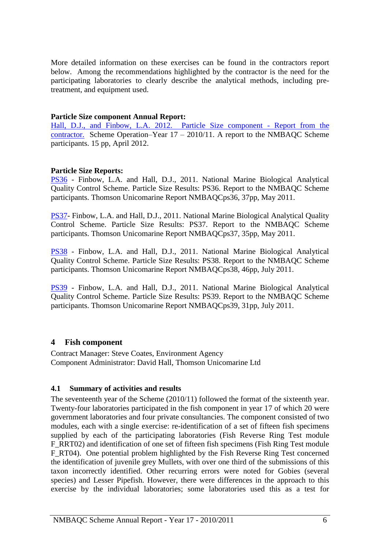More detailed information on these exercises can be found in the contractors report below. Among the recommendations highlighted by the contractor is the need for the participating laboratories to clearly describe the analytical methods, including pretreatment, and equipment used.

#### **Particle Size component Annual Report:**

[Hall, D.J., and Finbow, L.A. 2012. Particle Size component -](http://www.nmbaqcs.org/media/11699/annrep1011_psa_final.pdf) Report from the [contractor.](http://www.nmbaqcs.org/media/11699/annrep1011_psa_final.pdf) Scheme Operation–Year 17 – 2010/11. A report to the NMBAQC Scheme participants. 15 pp, April 2012.

#### **Particle Size Reports:**

[PS36](http://www.nmbaqcs.org/media/10807/nmbaqcs_ps36_updated.pdf) - Finbow, L.A. and Hall, D.J., 2011. National Marine Biological Analytical Quality Control Scheme. Particle Size Results: PS36. Report to the NMBAQC Scheme participants. Thomson Unicomarine Report NMBAQCps36, 37pp, May 2011.

[PS37-](http://www.nmbaqcs.org/media/10508/nmbaqcs_ps37_updated.pdf) Finbow, L.A. and Hall, D.J., 2011. National Marine Biological Analytical Quality Control Scheme. Particle Size Results: PS37. Report to the NMBAQC Scheme participants. Thomson Unicomarine Report NMBAQCps37, 35pp, May 2011.

[PS38](http://www.nmbaqcs.org/media/10816/nmbaqcs_ps38_updated.pdf) - Finbow, L.A. and Hall, D.J., 2011. National Marine Biological Analytical Quality Control Scheme. Particle Size Results: PS38. Report to the NMBAQC Scheme participants. Thomson Unicomarine Report NMBAQCps38, 46pp, July 2011.

[PS39](http://www.nmbaqcs.org/media/10516/nmbaqcs_ps39_updated.pdf) - Finbow, L.A. and Hall, D.J., 2011. National Marine Biological Analytical Quality Control Scheme. Particle Size Results: PS39. Report to the NMBAQC Scheme participants. Thomson Unicomarine Report NMBAQCps39, 31pp, July 2011.

#### <span id="page-7-0"></span>**4 Fish component**

Contract Manager: Steve Coates, Environment Agency Component Administrator: David Hall, Thomson Unicomarine Ltd

#### <span id="page-7-1"></span>**4.1 Summary of activities and results**

The seventeenth year of the Scheme (2010/11) followed the format of the sixteenth year. Twenty-four laboratories participated in the fish component in year 17 of which 20 were government laboratories and four private consultancies. The component consisted of two modules, each with a single exercise: re-identification of a set of fifteen fish specimens supplied by each of the participating laboratories (Fish Reverse Ring Test module F\_RRT02) and identification of one set of fifteen fish specimens (Fish Ring Test module F\_RT04). One potential problem highlighted by the Fish Reverse Ring Test concerned the identification of juvenile grey Mullets, with over one third of the submissions of this taxon incorrectly identified. Other recurring errors were noted for Gobies (several species) and Lesser Pipefish. However, there were differences in the approach to this exercise by the individual laboratories; some laboratories used this as a test for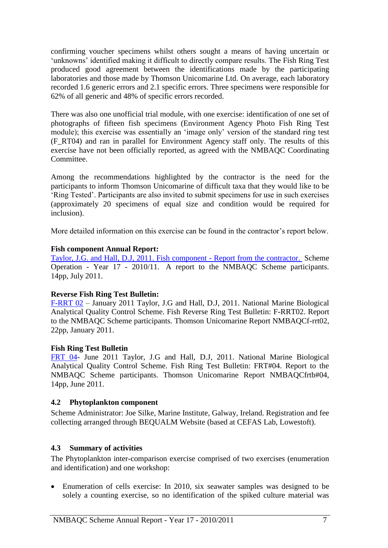confirming voucher specimens whilst others sought a means of having uncertain or 'unknowns' identified making it difficult to directly compare results. The Fish Ring Test produced good agreement between the identifications made by the participating laboratories and those made by Thomson Unicomarine Ltd. On average, each laboratory recorded 1.6 generic errors and 2.1 specific errors. Three specimens were responsible for 62% of all generic and 48% of specific errors recorded.

There was also one unofficial trial module, with one exercise: identification of one set of photographs of fifteen fish specimens (Environment Agency Photo Fish Ring Test module); this exercise was essentially an 'image only' version of the standard ring test (F\_RT04) and ran in parallel for Environment Agency staff only. The results of this exercise have not been officially reported, as agreed with the NMBAQC Coordinating Committee.

Among the recommendations highlighted by the contractor is the need for the participants to inform Thomson Unicomarine of difficult taxa that they would like to be 'Ring Tested'. Participants are also invited to submit specimens for use in such exercises (approximately 20 specimens of equal size and condition would be required for inclusion).

More detailed information on this exercise can be found in the contractor's report below.

#### **Fish component Annual Report:**

[Taylor, J.G. and Hall, D.J, 2011. Fish component -](http://www.nmbaqcs.org/media/10567/yr17annrep11_fish.pdf) Report from the contractor. Scheme Operation - Year 17 - 2010/11. A report to the NMBAQC Scheme participants. 14pp, July 2011.

#### **Reverse Fish Ring Test Bulletin:**

[F-RRT 02](http://www.nmbaqcs.org/media/9952/nmbaqcs_rrt02_rpt_v2.pdf) – January 2011 Taylor, J.G and Hall, D.J, 2011. National Marine Biological Analytical Quality Control Scheme. Fish Reverse Ring Test Bulletin: F-RRT02. Report to the NMBAQC Scheme participants. Thomson Unicomarine Report NMBAQCf-rrt02, 22pp, January 2011.

#### **Fish Ring Test Bulletin**

[FRT 04-](http://www.nmbaqcs.org/media/10239/f-rt04%20bulletin.pdf) June 2011 Taylor, J.G and Hall, D.J, 2011. National Marine Biological Analytical Quality Control Scheme. Fish Ring Test Bulletin: FRT#04. Report to the NMBAQC Scheme participants. Thomson Unicomarine Report NMBAQCfrtb#04, 14pp, June 2011.

#### <span id="page-8-0"></span>**4.2 Phytoplankton component**

Scheme Administrator: Joe Silke, Marine Institute, Galway, Ireland. Registration and fee collecting arranged through BEQUALM Website (based at CEFAS Lab, Lowestoft).

#### <span id="page-8-1"></span>**4.3 Summary of activities**

The Phytoplankton inter-comparison exercise comprised of two exercises (enumeration and identification) and one workshop:

 Enumeration of cells exercise: In 2010, six seawater samples was designed to be solely a counting exercise, so no identification of the spiked culture material was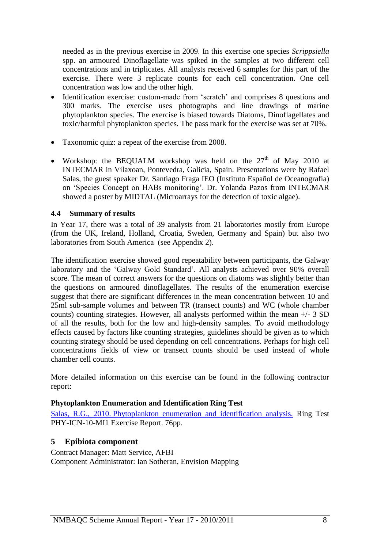needed as in the previous exercise in 2009. In this exercise one species *Scrippsiella* spp. an armoured Dinoflagellate was spiked in the samples at two different cell concentrations and in triplicates. All analysts received 6 samples for this part of the exercise. There were 3 replicate counts for each cell concentration. One cell concentration was low and the other high.

- Identification exercise: custom-made from 'scratch' and comprises 8 questions and 300 marks. The exercise uses photographs and line drawings of marine phytoplankton species. The exercise is biased towards Diatoms, Dinoflagellates and toxic/harmful phytoplankton species. The pass mark for the exercise was set at 70%.
- Taxonomic quiz: a repeat of the exercise from 2008.
- Workshop: the BEQUALM workshop was held on the  $27<sup>th</sup>$  of May 2010 at INTECMAR in Vilaxoan, Pontevedra, Galicia, Spain. Presentations were by Rafael Salas, the guest speaker Dr. Santiago Fraga IEO (Instituto Español de Oceanografia) on 'Species Concept on HABs monitoring'. Dr. Yolanda Pazos from INTECMAR showed a poster by MIDTAL (Microarrays for the detection of toxic algae).

### <span id="page-9-0"></span>**4.4 Summary of results**

In Year 17, there was a total of 39 analysts from 21 laboratories mostly from Europe (from the UK, Ireland, Holland, Croatia, Sweden, Germany and Spain) but also two laboratories from South America (see Appendix 2).

The identification exercise showed good repeatability between participants, the Galway laboratory and the 'Galway Gold Standard'. All analysts achieved over 90% overall score. The mean of correct answers for the questions on diatoms was slightly better than the questions on armoured dinoflagellates. The results of the enumeration exercise suggest that there are significant differences in the mean concentration between 10 and 25ml sub-sample volumes and between TR (transect counts) and WC (whole chamber counts) counting strategies. However, all analysts performed within the mean +/- 3 SD of all the results, both for the low and high-density samples. To avoid methodology effects caused by factors like counting strategies, guidelines should be given as to which counting strategy should be used depending on cell concentrations. Perhaps for high cell concentrations fields of view or transect counts should be used instead of whole chamber cell counts.

More detailed information on this exercise can be found in the following contractor report:

#### **Phytoplankton Enumeration and Identification Ring Test**

Salas, R.G., 2010. [Phytoplankton enumeration and identification analysis.](http://www.nmbaqcs.org/media/9818/phytoplankton%20report%20bequalm%202010%20vr%204.0.pdf) Ring Test PHY-ICN-10-MI1 Exercise Report. 76pp.

## <span id="page-9-1"></span>**5 Epibiota component**

Contract Manager: Matt Service, AFBI Component Administrator: Ian Sotheran, Envision Mapping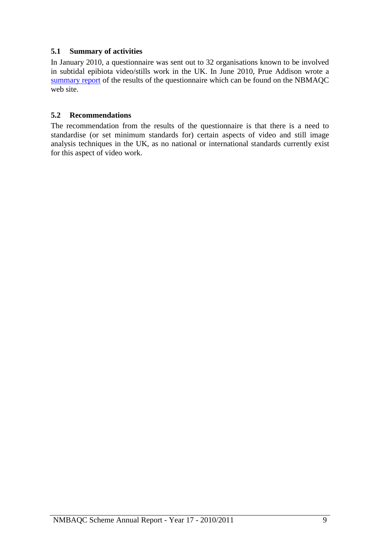### <span id="page-10-0"></span>**5.1 Summary of activities**

In January 2010, a questionnaire was sent out to 32 organisations known to be involved in subtidal epibiota video/stills work in the UK. In June 2010, Prue Addison wrote a [summary report](http://www.nmbaqcs.org/media/9295/nmbaqc%20epibiota%20questionnaire%20review_june%202010.pdf) of the results of the questionnaire which can be found on the NBMAQC web site.

### <span id="page-10-1"></span>**5.2 Recommendations**

The recommendation from the results of the questionnaire is that there is a need to standardise (or set minimum standards for) certain aspects of video and still image analysis techniques in the UK, as no national or international standards currently exist for this aspect of video work.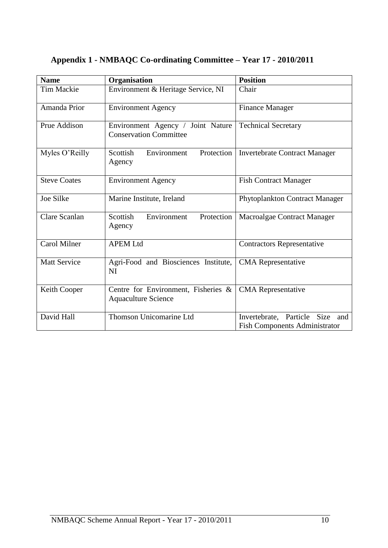| <b>Name</b>         | Organisation                                                       | <b>Position</b>                                                               |
|---------------------|--------------------------------------------------------------------|-------------------------------------------------------------------------------|
| <b>Tim Mackie</b>   | Environment & Heritage Service, NI                                 | Chair                                                                         |
| Amanda Prior        | <b>Environment Agency</b>                                          | <b>Finance Manager</b>                                                        |
| Prue Addison        | Environment Agency / Joint Nature<br><b>Conservation Committee</b> | <b>Technical Secretary</b>                                                    |
| Myles O'Reilly      | Environment<br>Protection<br>Scottish<br>Agency                    | <b>Invertebrate Contract Manager</b>                                          |
| <b>Steve Coates</b> | <b>Environment Agency</b>                                          | <b>Fish Contract Manager</b>                                                  |
| Joe Silke           | Marine Institute, Ireland                                          | Phytoplankton Contract Manager                                                |
| Clare Scanlan       | Scottish<br>Protection<br>Environment<br>Agency                    | Macroalgae Contract Manager                                                   |
| <b>Carol Milner</b> | <b>APEM Ltd</b>                                                    | <b>Contractors Representative</b>                                             |
| <b>Matt Service</b> | Agri-Food and Biosciences Institute,<br><b>NI</b>                  | <b>CMA</b> Representative                                                     |
| Keith Cooper        | Centre for Environment, Fisheries &<br><b>Aquaculture Science</b>  | <b>CMA</b> Representative                                                     |
| David Hall          | Thomson Unicomarine Ltd                                            | Invertebrate, Particle<br>Size<br>and<br><b>Fish Components Administrator</b> |

## <span id="page-11-0"></span>**Appendix 1 - NMBAQC Co-ordinating Committee – Year 17 - 2010/2011**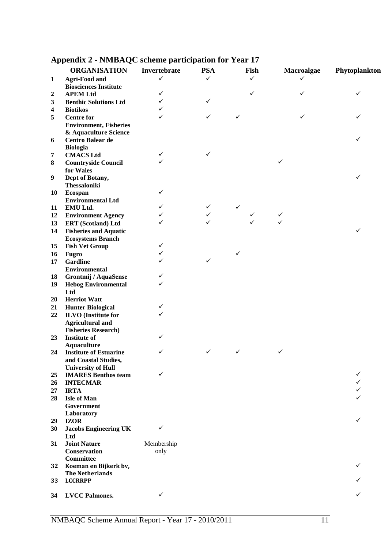|                  | <b>ORGANISATION</b>           | Invertebrate | <b>PSA</b> | Fish | Macroalgae | Phytoplankton |
|------------------|-------------------------------|--------------|------------|------|------------|---------------|
| $\mathbf{1}$     | <b>Agri-Food and</b>          | ✓            | ✓          | ✓    | ✓          |               |
|                  | <b>Biosciences Institute</b>  |              |            |      |            |               |
| 2                | <b>APEM Ltd</b>               | ✓            |            | ✓    | ✓          | ✓             |
| 3                | <b>Benthic Solutions Ltd</b>  | ✓            | ✓          |      |            |               |
| 4                | <b>Biotikos</b>               | $\checkmark$ |            |      |            |               |
| 5                | <b>Centre for</b>             | ✓            | ✓          | ✓    |            |               |
|                  | <b>Environment, Fisheries</b> |              |            |      |            |               |
|                  | & Aquaculture Science         |              |            |      |            |               |
| 6                | <b>Centro Balear de</b>       |              |            |      |            | ✓             |
|                  | <b>Biologia</b>               |              |            |      |            |               |
| 7                | <b>CMACS Ltd</b>              | ✓            | ✓          |      |            |               |
| 8                | <b>Countryside Council</b>    |              |            |      | ✓          |               |
|                  | for Wales                     |              |            |      |            |               |
| $\boldsymbol{9}$ | Dept of Botany,               |              |            |      |            | ✓             |
|                  | <b>Thessaloniki</b>           |              |            |      |            |               |
| 10               | Ecospan                       | ✓            |            |      |            |               |
|                  | <b>Environmental Ltd</b>      |              |            |      |            |               |
| 11               | EMU Ltd.                      | ✓            | ✓          | ✓    |            |               |
| 12               | <b>Environment Agency</b>     | ✓            | ✓          |      | ✓          |               |
| 13               | <b>ERT</b> (Scotland) Ltd     | ✓            |            |      | ✓          |               |
| 14               | <b>Fisheries and Aquatic</b>  |              |            |      |            | ✓             |
|                  | <b>Ecosystems Branch</b>      |              |            |      |            |               |
| 15               | <b>Fish Vet Group</b>         | ✓            |            |      |            |               |
| 16               | Fugro                         | $\checkmark$ |            | ✓    |            |               |
|                  | <b>Gardline</b>               | ✓            | ✓          |      |            |               |
| 17               |                               |              |            |      |            |               |
|                  | <b>Environmental</b>          | ✓            |            |      |            |               |
| 18               | Grontmij / AquaSense          | ✓            |            |      |            |               |
| 19               | <b>Hebog Environmental</b>    |              |            |      |            |               |
|                  | Ltd                           |              |            |      |            |               |
| 20               | <b>Herriot Watt</b>           |              |            |      |            |               |
| 21               | <b>Hunter Biological</b>      | $\checkmark$ |            |      |            |               |
| 22               | <b>ILVO</b> (Institute for    | ✓            |            |      |            |               |
|                  | <b>Agricultural and</b>       |              |            |      |            |               |
|                  | <b>Fisheries Research)</b>    |              |            |      |            |               |
| 23               | <b>Institute of</b>           | ✓            |            |      |            |               |
|                  | <b>Aquaculture</b>            |              |            |      |            |               |
| 24               | <b>Institute of Estuarine</b> | ✓            | ✓          | ✓    | ✓          |               |
|                  | and Coastal Studies,          |              |            |      |            |               |
|                  | <b>University of Hull</b>     |              |            |      |            |               |
| 25               | <b>IMARES Benthos team</b>    | ✓            |            |      |            |               |
| 26               | <b>INTECMAR</b>               |              |            |      |            |               |
| 27               | <b>IRTA</b>                   |              |            |      |            |               |
| 28               | <b>Isle of Man</b>            |              |            |      |            |               |
|                  | Government                    |              |            |      |            |               |
|                  | Laboratory                    |              |            |      |            |               |
| 29               | <b>IZOR</b>                   |              |            |      |            | ✓             |
| 30               | <b>Jacobs Engineering UK</b>  | ✓            |            |      |            |               |
|                  | Ltd                           |              |            |      |            |               |
| 31               | <b>Joint Nature</b>           | Membership   |            |      |            |               |
|                  | Conservation                  | only         |            |      |            |               |
|                  | <b>Committee</b>              |              |            |      |            |               |
| 32               | Koeman en Bijkerk bv,         |              |            |      |            | ✓             |
|                  | <b>The Netherlands</b>        |              |            |      |            |               |
| 33               | <b>LCCRRPP</b>                |              |            |      |            |               |
|                  |                               |              |            |      |            |               |
| 34               | <b>LVCC Palmones.</b>         | ✓            |            |      |            | ✓             |

## <span id="page-12-0"></span>**Appendix 2 - NMBAQC scheme participation for Year 17**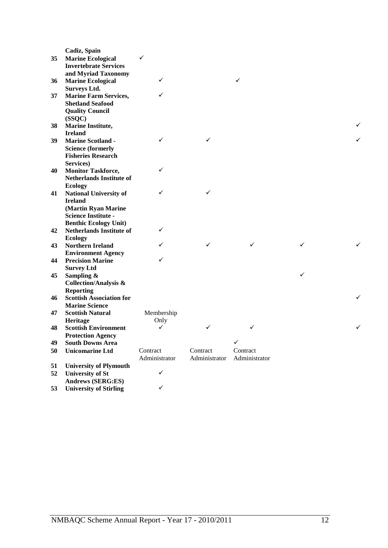| Cadiz, Spain<br><b>Marine Ecological</b><br>✓<br>35<br><b>Invertebrate Services</b><br>and Myriad Taxonomy<br><b>Marine Ecological</b><br>✓<br>✓<br>36<br><b>Surveys Ltd.</b><br>$\checkmark$<br><b>Marine Farm Services,</b><br>37<br><b>Shetland Seafood</b><br><b>Quality Council</b><br>(SSQC)<br>Marine Institute,<br>38<br><b>Ireland</b><br><b>Marine Scotland -</b><br>✓<br>✓<br>39<br><b>Science (formerly</b><br><b>Fisheries Research</b><br>Services)<br>✓<br><b>Monitor Taskforce,</b><br>40<br><b>Netherlands Institute of</b><br><b>Ecology</b><br>✓<br><b>National University of</b><br>✓<br>41<br><b>Ireland</b><br>(Martin Ryan Marine<br><b>Science Institute -</b><br><b>Benthic Ecology Unit)</b><br>✓<br><b>Netherlands Institute of</b><br>42<br><b>Ecology</b><br>✓<br>✓<br>✓<br>✓<br><b>Northern Ireland</b><br>43<br><b>Environment Agency</b><br>✓<br><b>Precision Marine</b><br>44<br><b>Survey Ltd</b><br>✓<br>Sampling &<br>45<br><b>Collection/Analysis &amp;</b><br><b>Reporting</b><br><b>Scottish Association for</b><br>46<br><b>Marine Science</b><br><b>Scottish Natural</b><br>Membership<br>47<br>Heritage<br>Only<br><b>Scottish Environment</b><br>✓<br>✓<br>48<br>✓<br><b>Protection Agency</b><br>✓<br><b>South Downs Area</b><br>49<br><b>Unicomarine Ltd</b><br>Contract<br>Contract<br>Contract<br>50<br>Administrator<br>Administrator<br>Administrator<br><b>University of Plymouth</b><br>51<br>✓<br><b>University of St</b><br>52<br><b>Andrews (SERG:ES)</b><br>✓ |    |                               |  |  |   |
|----------------------------------------------------------------------------------------------------------------------------------------------------------------------------------------------------------------------------------------------------------------------------------------------------------------------------------------------------------------------------------------------------------------------------------------------------------------------------------------------------------------------------------------------------------------------------------------------------------------------------------------------------------------------------------------------------------------------------------------------------------------------------------------------------------------------------------------------------------------------------------------------------------------------------------------------------------------------------------------------------------------------------------------------------------------------------------------------------------------------------------------------------------------------------------------------------------------------------------------------------------------------------------------------------------------------------------------------------------------------------------------------------------------------------------------------------------------------------------------------------------------------|----|-------------------------------|--|--|---|
|                                                                                                                                                                                                                                                                                                                                                                                                                                                                                                                                                                                                                                                                                                                                                                                                                                                                                                                                                                                                                                                                                                                                                                                                                                                                                                                                                                                                                                                                                                                      |    |                               |  |  |   |
|                                                                                                                                                                                                                                                                                                                                                                                                                                                                                                                                                                                                                                                                                                                                                                                                                                                                                                                                                                                                                                                                                                                                                                                                                                                                                                                                                                                                                                                                                                                      |    |                               |  |  |   |
|                                                                                                                                                                                                                                                                                                                                                                                                                                                                                                                                                                                                                                                                                                                                                                                                                                                                                                                                                                                                                                                                                                                                                                                                                                                                                                                                                                                                                                                                                                                      |    |                               |  |  |   |
|                                                                                                                                                                                                                                                                                                                                                                                                                                                                                                                                                                                                                                                                                                                                                                                                                                                                                                                                                                                                                                                                                                                                                                                                                                                                                                                                                                                                                                                                                                                      |    |                               |  |  |   |
|                                                                                                                                                                                                                                                                                                                                                                                                                                                                                                                                                                                                                                                                                                                                                                                                                                                                                                                                                                                                                                                                                                                                                                                                                                                                                                                                                                                                                                                                                                                      |    |                               |  |  |   |
|                                                                                                                                                                                                                                                                                                                                                                                                                                                                                                                                                                                                                                                                                                                                                                                                                                                                                                                                                                                                                                                                                                                                                                                                                                                                                                                                                                                                                                                                                                                      |    |                               |  |  |   |
|                                                                                                                                                                                                                                                                                                                                                                                                                                                                                                                                                                                                                                                                                                                                                                                                                                                                                                                                                                                                                                                                                                                                                                                                                                                                                                                                                                                                                                                                                                                      |    |                               |  |  |   |
|                                                                                                                                                                                                                                                                                                                                                                                                                                                                                                                                                                                                                                                                                                                                                                                                                                                                                                                                                                                                                                                                                                                                                                                                                                                                                                                                                                                                                                                                                                                      |    |                               |  |  |   |
|                                                                                                                                                                                                                                                                                                                                                                                                                                                                                                                                                                                                                                                                                                                                                                                                                                                                                                                                                                                                                                                                                                                                                                                                                                                                                                                                                                                                                                                                                                                      |    |                               |  |  |   |
|                                                                                                                                                                                                                                                                                                                                                                                                                                                                                                                                                                                                                                                                                                                                                                                                                                                                                                                                                                                                                                                                                                                                                                                                                                                                                                                                                                                                                                                                                                                      |    |                               |  |  |   |
|                                                                                                                                                                                                                                                                                                                                                                                                                                                                                                                                                                                                                                                                                                                                                                                                                                                                                                                                                                                                                                                                                                                                                                                                                                                                                                                                                                                                                                                                                                                      |    |                               |  |  | ✓ |
|                                                                                                                                                                                                                                                                                                                                                                                                                                                                                                                                                                                                                                                                                                                                                                                                                                                                                                                                                                                                                                                                                                                                                                                                                                                                                                                                                                                                                                                                                                                      |    |                               |  |  |   |
|                                                                                                                                                                                                                                                                                                                                                                                                                                                                                                                                                                                                                                                                                                                                                                                                                                                                                                                                                                                                                                                                                                                                                                                                                                                                                                                                                                                                                                                                                                                      |    |                               |  |  |   |
|                                                                                                                                                                                                                                                                                                                                                                                                                                                                                                                                                                                                                                                                                                                                                                                                                                                                                                                                                                                                                                                                                                                                                                                                                                                                                                                                                                                                                                                                                                                      |    |                               |  |  |   |
|                                                                                                                                                                                                                                                                                                                                                                                                                                                                                                                                                                                                                                                                                                                                                                                                                                                                                                                                                                                                                                                                                                                                                                                                                                                                                                                                                                                                                                                                                                                      |    |                               |  |  |   |
|                                                                                                                                                                                                                                                                                                                                                                                                                                                                                                                                                                                                                                                                                                                                                                                                                                                                                                                                                                                                                                                                                                                                                                                                                                                                                                                                                                                                                                                                                                                      |    |                               |  |  |   |
|                                                                                                                                                                                                                                                                                                                                                                                                                                                                                                                                                                                                                                                                                                                                                                                                                                                                                                                                                                                                                                                                                                                                                                                                                                                                                                                                                                                                                                                                                                                      |    |                               |  |  |   |
|                                                                                                                                                                                                                                                                                                                                                                                                                                                                                                                                                                                                                                                                                                                                                                                                                                                                                                                                                                                                                                                                                                                                                                                                                                                                                                                                                                                                                                                                                                                      |    |                               |  |  |   |
|                                                                                                                                                                                                                                                                                                                                                                                                                                                                                                                                                                                                                                                                                                                                                                                                                                                                                                                                                                                                                                                                                                                                                                                                                                                                                                                                                                                                                                                                                                                      |    |                               |  |  |   |
|                                                                                                                                                                                                                                                                                                                                                                                                                                                                                                                                                                                                                                                                                                                                                                                                                                                                                                                                                                                                                                                                                                                                                                                                                                                                                                                                                                                                                                                                                                                      |    |                               |  |  |   |
|                                                                                                                                                                                                                                                                                                                                                                                                                                                                                                                                                                                                                                                                                                                                                                                                                                                                                                                                                                                                                                                                                                                                                                                                                                                                                                                                                                                                                                                                                                                      |    |                               |  |  |   |
|                                                                                                                                                                                                                                                                                                                                                                                                                                                                                                                                                                                                                                                                                                                                                                                                                                                                                                                                                                                                                                                                                                                                                                                                                                                                                                                                                                                                                                                                                                                      |    |                               |  |  |   |
|                                                                                                                                                                                                                                                                                                                                                                                                                                                                                                                                                                                                                                                                                                                                                                                                                                                                                                                                                                                                                                                                                                                                                                                                                                                                                                                                                                                                                                                                                                                      |    |                               |  |  |   |
|                                                                                                                                                                                                                                                                                                                                                                                                                                                                                                                                                                                                                                                                                                                                                                                                                                                                                                                                                                                                                                                                                                                                                                                                                                                                                                                                                                                                                                                                                                                      |    |                               |  |  |   |
|                                                                                                                                                                                                                                                                                                                                                                                                                                                                                                                                                                                                                                                                                                                                                                                                                                                                                                                                                                                                                                                                                                                                                                                                                                                                                                                                                                                                                                                                                                                      |    |                               |  |  |   |
|                                                                                                                                                                                                                                                                                                                                                                                                                                                                                                                                                                                                                                                                                                                                                                                                                                                                                                                                                                                                                                                                                                                                                                                                                                                                                                                                                                                                                                                                                                                      |    |                               |  |  | ✓ |
|                                                                                                                                                                                                                                                                                                                                                                                                                                                                                                                                                                                                                                                                                                                                                                                                                                                                                                                                                                                                                                                                                                                                                                                                                                                                                                                                                                                                                                                                                                                      |    |                               |  |  |   |
|                                                                                                                                                                                                                                                                                                                                                                                                                                                                                                                                                                                                                                                                                                                                                                                                                                                                                                                                                                                                                                                                                                                                                                                                                                                                                                                                                                                                                                                                                                                      |    |                               |  |  |   |
|                                                                                                                                                                                                                                                                                                                                                                                                                                                                                                                                                                                                                                                                                                                                                                                                                                                                                                                                                                                                                                                                                                                                                                                                                                                                                                                                                                                                                                                                                                                      |    |                               |  |  |   |
|                                                                                                                                                                                                                                                                                                                                                                                                                                                                                                                                                                                                                                                                                                                                                                                                                                                                                                                                                                                                                                                                                                                                                                                                                                                                                                                                                                                                                                                                                                                      |    |                               |  |  |   |
|                                                                                                                                                                                                                                                                                                                                                                                                                                                                                                                                                                                                                                                                                                                                                                                                                                                                                                                                                                                                                                                                                                                                                                                                                                                                                                                                                                                                                                                                                                                      |    |                               |  |  |   |
|                                                                                                                                                                                                                                                                                                                                                                                                                                                                                                                                                                                                                                                                                                                                                                                                                                                                                                                                                                                                                                                                                                                                                                                                                                                                                                                                                                                                                                                                                                                      |    |                               |  |  |   |
|                                                                                                                                                                                                                                                                                                                                                                                                                                                                                                                                                                                                                                                                                                                                                                                                                                                                                                                                                                                                                                                                                                                                                                                                                                                                                                                                                                                                                                                                                                                      |    |                               |  |  | ✓ |
|                                                                                                                                                                                                                                                                                                                                                                                                                                                                                                                                                                                                                                                                                                                                                                                                                                                                                                                                                                                                                                                                                                                                                                                                                                                                                                                                                                                                                                                                                                                      |    |                               |  |  |   |
|                                                                                                                                                                                                                                                                                                                                                                                                                                                                                                                                                                                                                                                                                                                                                                                                                                                                                                                                                                                                                                                                                                                                                                                                                                                                                                                                                                                                                                                                                                                      |    |                               |  |  |   |
|                                                                                                                                                                                                                                                                                                                                                                                                                                                                                                                                                                                                                                                                                                                                                                                                                                                                                                                                                                                                                                                                                                                                                                                                                                                                                                                                                                                                                                                                                                                      |    |                               |  |  |   |
|                                                                                                                                                                                                                                                                                                                                                                                                                                                                                                                                                                                                                                                                                                                                                                                                                                                                                                                                                                                                                                                                                                                                                                                                                                                                                                                                                                                                                                                                                                                      |    |                               |  |  | ✓ |
|                                                                                                                                                                                                                                                                                                                                                                                                                                                                                                                                                                                                                                                                                                                                                                                                                                                                                                                                                                                                                                                                                                                                                                                                                                                                                                                                                                                                                                                                                                                      |    |                               |  |  |   |
|                                                                                                                                                                                                                                                                                                                                                                                                                                                                                                                                                                                                                                                                                                                                                                                                                                                                                                                                                                                                                                                                                                                                                                                                                                                                                                                                                                                                                                                                                                                      |    |                               |  |  |   |
|                                                                                                                                                                                                                                                                                                                                                                                                                                                                                                                                                                                                                                                                                                                                                                                                                                                                                                                                                                                                                                                                                                                                                                                                                                                                                                                                                                                                                                                                                                                      |    |                               |  |  |   |
|                                                                                                                                                                                                                                                                                                                                                                                                                                                                                                                                                                                                                                                                                                                                                                                                                                                                                                                                                                                                                                                                                                                                                                                                                                                                                                                                                                                                                                                                                                                      |    |                               |  |  |   |
|                                                                                                                                                                                                                                                                                                                                                                                                                                                                                                                                                                                                                                                                                                                                                                                                                                                                                                                                                                                                                                                                                                                                                                                                                                                                                                                                                                                                                                                                                                                      |    |                               |  |  |   |
|                                                                                                                                                                                                                                                                                                                                                                                                                                                                                                                                                                                                                                                                                                                                                                                                                                                                                                                                                                                                                                                                                                                                                                                                                                                                                                                                                                                                                                                                                                                      |    |                               |  |  |   |
|                                                                                                                                                                                                                                                                                                                                                                                                                                                                                                                                                                                                                                                                                                                                                                                                                                                                                                                                                                                                                                                                                                                                                                                                                                                                                                                                                                                                                                                                                                                      |    |                               |  |  |   |
|                                                                                                                                                                                                                                                                                                                                                                                                                                                                                                                                                                                                                                                                                                                                                                                                                                                                                                                                                                                                                                                                                                                                                                                                                                                                                                                                                                                                                                                                                                                      | 53 | <b>University of Stirling</b> |  |  |   |